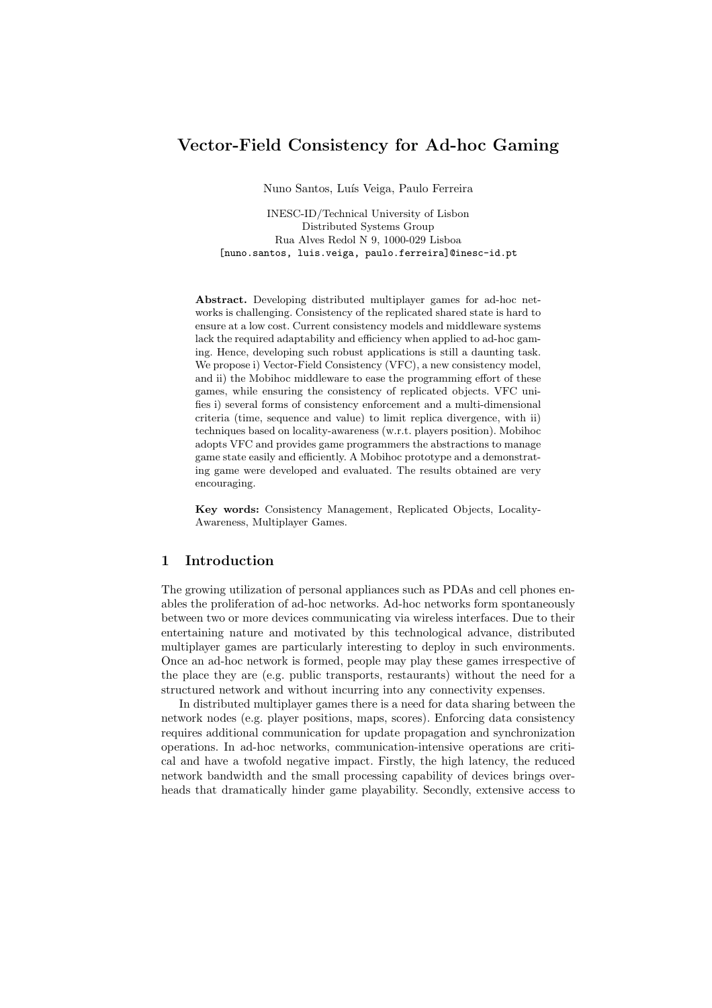# Vector-Field Consistency for Ad-hoc Gaming

Nuno Santos, Luís Veiga, Paulo Ferreira

INESC-ID/Technical University of Lisbon Distributed Systems Group Rua Alves Redol N 9, 1000-029 Lisboa [nuno.santos, luis.veiga, paulo.ferreira]@inesc-id.pt

Abstract. Developing distributed multiplayer games for ad-hoc networks is challenging. Consistency of the replicated shared state is hard to ensure at a low cost. Current consistency models and middleware systems lack the required adaptability and efficiency when applied to ad-hoc gaming. Hence, developing such robust applications is still a daunting task. We propose i) Vector-Field Consistency (VFC), a new consistency model, and ii) the Mobihoc middleware to ease the programming effort of these games, while ensuring the consistency of replicated objects. VFC unifies i) several forms of consistency enforcement and a multi-dimensional criteria (time, sequence and value) to limit replica divergence, with ii) techniques based on locality-awareness (w.r.t. players position). Mobihoc adopts VFC and provides game programmers the abstractions to manage game state easily and efficiently. A Mobihoc prototype and a demonstrating game were developed and evaluated. The results obtained are very encouraging.

Key words: Consistency Management, Replicated Objects, Locality-Awareness, Multiplayer Games.

### 1 Introduction

The growing utilization of personal appliances such as PDAs and cell phones enables the proliferation of ad-hoc networks. Ad-hoc networks form spontaneously between two or more devices communicating via wireless interfaces. Due to their entertaining nature and motivated by this technological advance, distributed multiplayer games are particularly interesting to deploy in such environments. Once an ad-hoc network is formed, people may play these games irrespective of the place they are (e.g. public transports, restaurants) without the need for a structured network and without incurring into any connectivity expenses.

In distributed multiplayer games there is a need for data sharing between the network nodes (e.g. player positions, maps, scores). Enforcing data consistency requires additional communication for update propagation and synchronization operations. In ad-hoc networks, communication-intensive operations are critical and have a twofold negative impact. Firstly, the high latency, the reduced network bandwidth and the small processing capability of devices brings overheads that dramatically hinder game playability. Secondly, extensive access to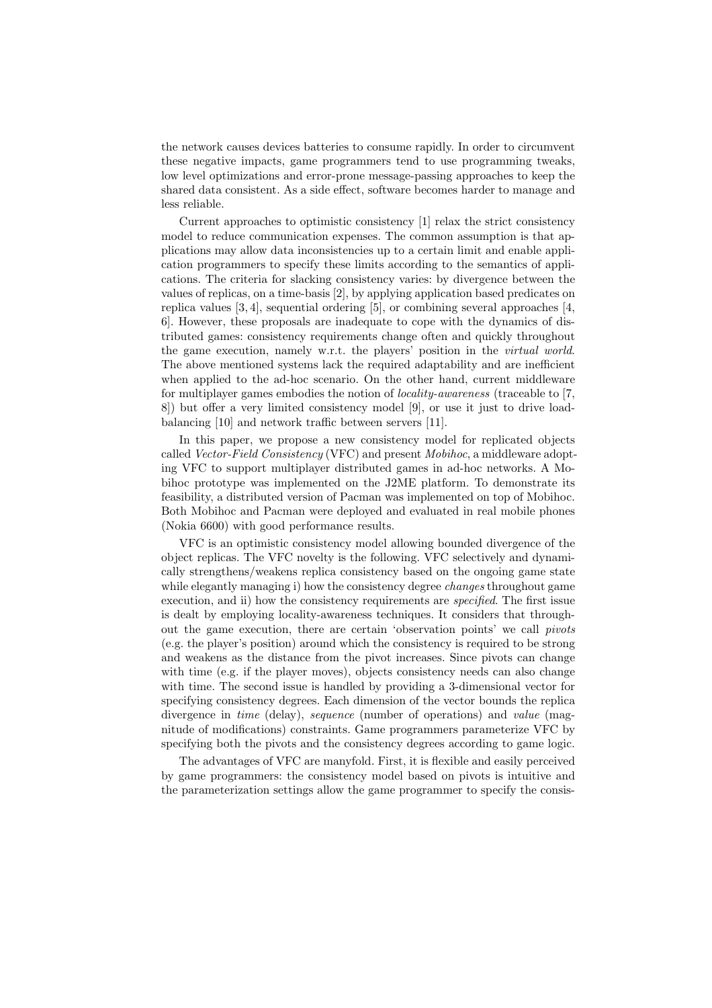the network causes devices batteries to consume rapidly. In order to circumvent these negative impacts, game programmers tend to use programming tweaks, low level optimizations and error-prone message-passing approaches to keep the shared data consistent. As a side effect, software becomes harder to manage and less reliable.

Current approaches to optimistic consistency [1] relax the strict consistency model to reduce communication expenses. The common assumption is that applications may allow data inconsistencies up to a certain limit and enable application programmers to specify these limits according to the semantics of applications. The criteria for slacking consistency varies: by divergence between the values of replicas, on a time-basis [2], by applying application based predicates on replica values [3, 4], sequential ordering [5], or combining several approaches [4, 6]. However, these proposals are inadequate to cope with the dynamics of distributed games: consistency requirements change often and quickly throughout the game execution, namely w.r.t. the players' position in the virtual world. The above mentioned systems lack the required adaptability and are inefficient when applied to the ad-hoc scenario. On the other hand, current middleware for multiplayer games embodies the notion of locality-awareness (traceable to [7, 8]) but offer a very limited consistency model [9], or use it just to drive loadbalancing [10] and network traffic between servers [11].

In this paper, we propose a new consistency model for replicated objects called Vector-Field Consistency (VFC) and present Mobihoc, a middleware adopting VFC to support multiplayer distributed games in ad-hoc networks. A Mobihoc prototype was implemented on the J2ME platform. To demonstrate its feasibility, a distributed version of Pacman was implemented on top of Mobihoc. Both Mobihoc and Pacman were deployed and evaluated in real mobile phones (Nokia 6600) with good performance results.

VFC is an optimistic consistency model allowing bounded divergence of the object replicas. The VFC novelty is the following. VFC selectively and dynamically strengthens/weakens replica consistency based on the ongoing game state while elegantly managing i) how the consistency degree *changes* throughout game execution, and ii) how the consistency requirements are *specified*. The first issue is dealt by employing locality-awareness techniques. It considers that throughout the game execution, there are certain 'observation points' we call pivots (e.g. the player's position) around which the consistency is required to be strong and weakens as the distance from the pivot increases. Since pivots can change with time (e.g. if the player moves), objects consistency needs can also change with time. The second issue is handled by providing a 3-dimensional vector for specifying consistency degrees. Each dimension of the vector bounds the replica divergence in *time* (delay), *sequence* (number of operations) and *value* (magnitude of modifications) constraints. Game programmers parameterize VFC by specifying both the pivots and the consistency degrees according to game logic.

The advantages of VFC are manyfold. First, it is flexible and easily perceived by game programmers: the consistency model based on pivots is intuitive and the parameterization settings allow the game programmer to specify the consis-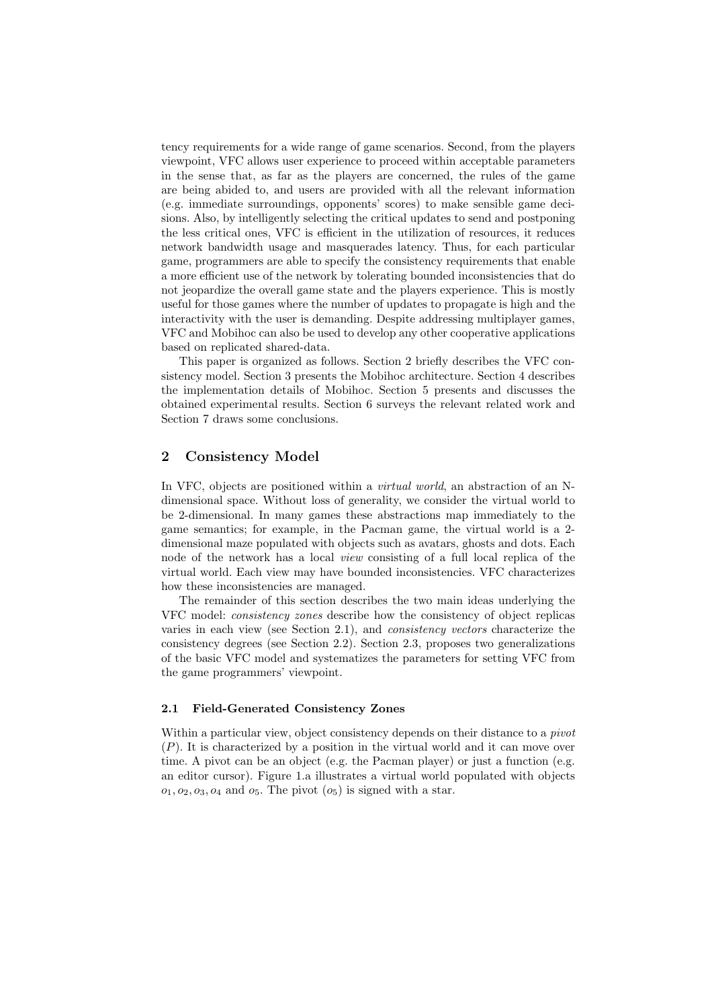tency requirements for a wide range of game scenarios. Second, from the players viewpoint, VFC allows user experience to proceed within acceptable parameters in the sense that, as far as the players are concerned, the rules of the game are being abided to, and users are provided with all the relevant information (e.g. immediate surroundings, opponents' scores) to make sensible game decisions. Also, by intelligently selecting the critical updates to send and postponing the less critical ones, VFC is efficient in the utilization of resources, it reduces network bandwidth usage and masquerades latency. Thus, for each particular game, programmers are able to specify the consistency requirements that enable a more efficient use of the network by tolerating bounded inconsistencies that do not jeopardize the overall game state and the players experience. This is mostly useful for those games where the number of updates to propagate is high and the interactivity with the user is demanding. Despite addressing multiplayer games, VFC and Mobihoc can also be used to develop any other cooperative applications based on replicated shared-data.

This paper is organized as follows. Section 2 briefly describes the VFC consistency model. Section 3 presents the Mobihoc architecture. Section 4 describes the implementation details of Mobihoc. Section 5 presents and discusses the obtained experimental results. Section 6 surveys the relevant related work and Section 7 draws some conclusions.

### 2 Consistency Model

In VFC, objects are positioned within a *virtual world*, an abstraction of an Ndimensional space. Without loss of generality, we consider the virtual world to be 2-dimensional. In many games these abstractions map immediately to the game semantics; for example, in the Pacman game, the virtual world is a 2 dimensional maze populated with objects such as avatars, ghosts and dots. Each node of the network has a local view consisting of a full local replica of the virtual world. Each view may have bounded inconsistencies. VFC characterizes how these inconsistencies are managed.

The remainder of this section describes the two main ideas underlying the VFC model: consistency zones describe how the consistency of object replicas varies in each view (see Section 2.1), and consistency vectors characterize the consistency degrees (see Section 2.2). Section 2.3, proposes two generalizations of the basic VFC model and systematizes the parameters for setting VFC from the game programmers' viewpoint.

#### 2.1 Field-Generated Consistency Zones

Within a particular view, object consistency depends on their distance to a *pivot* (P). It is characterized by a position in the virtual world and it can move over time. A pivot can be an object (e.g. the Pacman player) or just a function (e.g. an editor cursor). Figure 1.a illustrates a virtual world populated with objects  $o_1, o_2, o_3, o_4$  and  $o_5$ . The pivot  $(o_5)$  is signed with a star.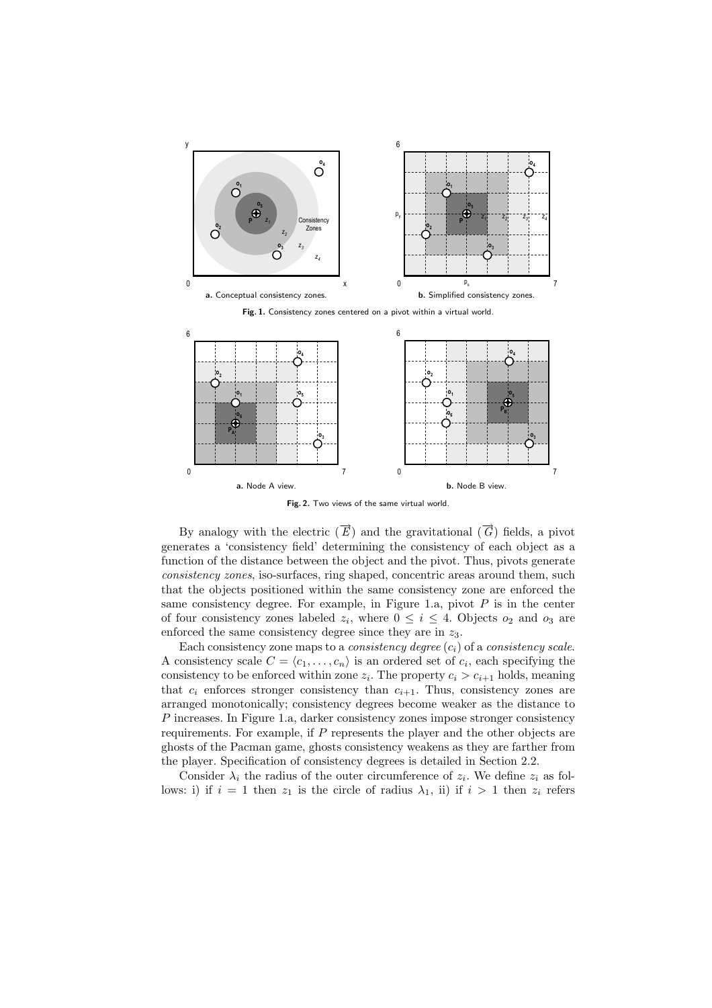

Fig. 2. Two views of the same virtual world.

By analogy with the electric  $(\vec{E})$  and the gravitational  $(\vec{G})$  fields, a pivot generates a 'consistency field' determining the consistency of each object as a function of the distance between the object and the pivot. Thus, pivots generate consistency zones, iso-surfaces, ring shaped, concentric areas around them, such that the objects positioned within the same consistency zone are enforced the same consistency degree. For example, in Figure 1.a, pivot  $P$  is in the center of four consistency zones labeled  $z_i$ , where  $0 \leq i \leq 4$ . Objects  $o_2$  and  $o_3$  are enforced the same consistency degree since they are in  $z_3$ .

Each consistency zone maps to a *consistency degree*  $(c_i)$  of a *consistency scale*. A consistency scale  $C = \langle c_1, \ldots, c_n \rangle$  is an ordered set of  $c_i$ , each specifying the consistency to be enforced within zone  $z_i$ . The property  $c_i > c_{i+1}$  holds, meaning that  $c_i$  enforces stronger consistency than  $c_{i+1}$ . Thus, consistency zones are arranged monotonically; consistency degrees become weaker as the distance to P increases. In Figure 1.a, darker consistency zones impose stronger consistency requirements. For example, if P represents the player and the other objects are ghosts of the Pacman game, ghosts consistency weakens as they are farther from the player. Specification of consistency degrees is detailed in Section 2.2.

Consider  $\lambda_i$  the radius of the outer circumference of  $z_i$ . We define  $z_i$  as follows: i) if  $i = 1$  then  $z_1$  is the circle of radius  $\lambda_1$ , ii) if  $i > 1$  then  $z_i$  refers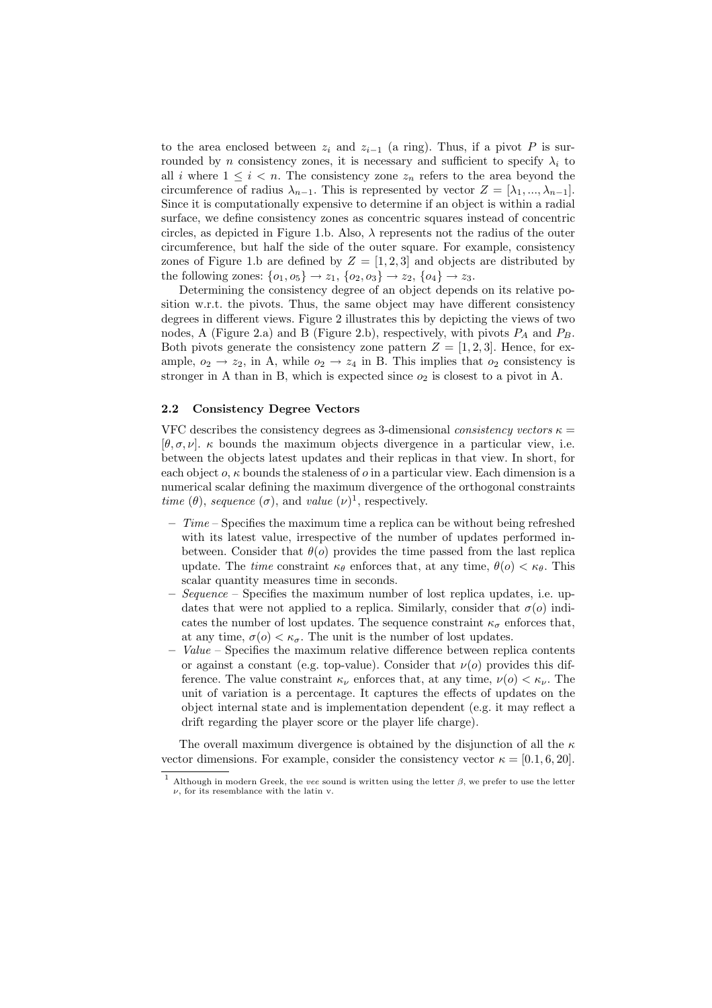to the area enclosed between  $z_i$  and  $z_{i-1}$  (a ring). Thus, if a pivot P is surrounded by n consistency zones, it is necessary and sufficient to specify  $\lambda_i$  to all i where  $1 \leq i \leq n$ . The consistency zone  $z_n$  refers to the area beyond the circumference of radius  $\lambda_{n-1}$ . This is represented by vector  $Z = [\lambda_1, ..., \lambda_{n-1}]$ . Since it is computationally expensive to determine if an object is within a radial surface, we define consistency zones as concentric squares instead of concentric circles, as depicted in Figure 1.b. Also,  $\lambda$  represents not the radius of the outer circumference, but half the side of the outer square. For example, consistency zones of Figure 1.b are defined by  $Z = [1, 2, 3]$  and objects are distributed by the following zones:  $\{o_1, o_5\} \to z_1$ ,  $\{o_2, o_3\} \to z_2$ ,  $\{o_4\} \to z_3$ .

Determining the consistency degree of an object depends on its relative position w.r.t. the pivots. Thus, the same object may have different consistency degrees in different views. Figure 2 illustrates this by depicting the views of two nodes, A (Figure 2.a) and B (Figure 2.b), respectively, with pivots  $P_A$  and  $P_B$ . Both pivots generate the consistency zone pattern  $Z = [1, 2, 3]$ . Hence, for example,  $o_2 \rightarrow z_2$ , in A, while  $o_2 \rightarrow z_4$  in B. This implies that  $o_2$  consistency is stronger in A than in B, which is expected since  $o_2$  is closest to a pivot in A.

#### 2.2 Consistency Degree Vectors

VFC describes the consistency degrees as 3-dimensional *consistency vectors*  $\kappa =$  $[\theta, \sigma, \nu]$ .  $\kappa$  bounds the maximum objects divergence in a particular view, i.e. between the objects latest updates and their replicas in that view. In short, for each object  $o, \kappa$  bounds the staleness of o in a particular view. Each dimension is a numerical scalar defining the maximum divergence of the orthogonal constraints time ( $\theta$ ), sequence ( $\sigma$ ), and value ( $\nu$ )<sup>1</sup>, respectively.

- $-$  Time Specifies the maximum time a replica can be without being refreshed with its latest value, irrespective of the number of updates performed inbetween. Consider that  $\theta$ (*o*) provides the time passed from the last replica update. The time constraint  $\kappa_{\theta}$  enforces that, at any time,  $\theta(o) < \kappa_{\theta}$ . This scalar quantity measures time in seconds.
- Sequence Specifies the maximum number of lost replica updates, i.e. updates that were not applied to a replica. Similarly, consider that  $\sigma$ (o) indicates the number of lost updates. The sequence constraint  $\kappa_{\sigma}$  enforces that, at any time,  $\sigma(o) < \kappa_{\sigma}$ . The unit is the number of lost updates.
- $-$  Value Specifies the maximum relative difference between replica contents or against a constant (e.g. top-value). Consider that  $\nu(o)$  provides this difference. The value constraint  $\kappa_{\nu}$  enforces that, at any time,  $\nu(o) < \kappa_{\nu}$ . The unit of variation is a percentage. It captures the effects of updates on the object internal state and is implementation dependent (e.g. it may reflect a drift regarding the player score or the player life charge).

The overall maximum divergence is obtained by the disjunction of all the  $\kappa$ vector dimensions. For example, consider the consistency vector  $\kappa = [0.1, 6, 20]$ .

Although in modern Greek, the vee sound is written using the letter  $\beta$ , we prefer to use the letter  $\nu$ , for its resemblance with the latin v.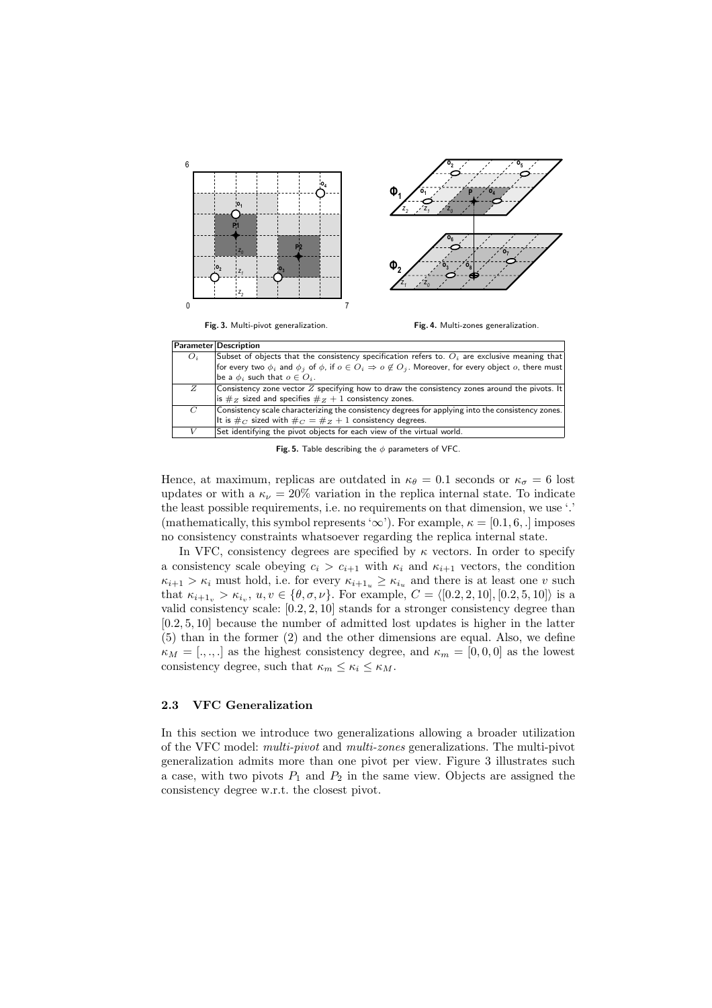

Fig. 5. Table describing the  $\phi$  parameters of VFC.

It is  $\#_C$  sized with  $\#_C = \#_Z + 1$  consistency degrees Set identifying the pivot objects for each view of the virtual world.

Hence, at maximum, replicas are outdated in  $\kappa_{\theta} = 0.1$  seconds or  $\kappa_{\sigma} = 6$  lost updates or with a  $\kappa_{\nu} = 20\%$  variation in the replica internal state. To indicate the least possible requirements, i.e. no requirements on that dimension, we use '.' (mathematically, this symbol represents ' $\infty$ '). For example,  $\kappa = [0.1, 6, .]$  imposes no consistency constraints whatsoever regarding the replica internal state.

In VFC, consistency degrees are specified by  $\kappa$  vectors. In order to specify a consistency scale obeying  $c_i > c_{i+1}$  with  $\kappa_i$  and  $\kappa_{i+1}$  vectors, the condition  $\kappa_{i+1} > \kappa_i$  must hold, i.e. for every  $\kappa_{i+1} \geq \kappa_{i}$  and there is at least one v such that  $\kappa_{i+1_v} > \kappa_{i_v}, u, v \in \{\theta, \sigma, \nu\}.$  For example,  $C = \langle [0.2, 2, 10], [0.2, 5, 10] \rangle$  is a valid consistency scale: [0.2, 2, 10] stands for a stronger consistency degree than [0.2, 5, 10] because the number of admitted lost updates is higher in the latter (5) than in the former (2) and the other dimensions are equal. Also, we define  $\kappa_M = [.,.,.]$  as the highest consistency degree, and  $\kappa_m = [0,0,0]$  as the lowest consistency degree, such that  $\kappa_m \leq \kappa_i \leq \kappa_M$ .

#### 2.3 VFC Generalization

In this section we introduce two generalizations allowing a broader utilization of the VFC model: multi-pivot and multi-zones generalizations. The multi-pivot generalization admits more than one pivot per view. Figure 3 illustrates such a case, with two pivots  $P_1$  and  $P_2$  in the same view. Objects are assigned the consistency degree w.r.t. the closest pivot.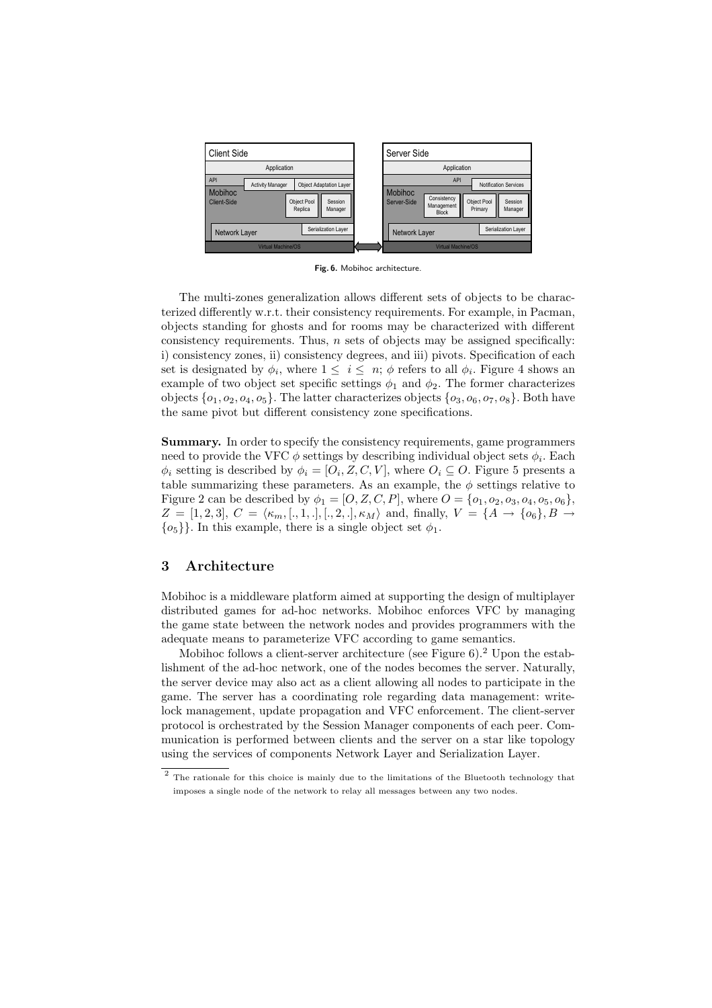

Fig. 6. Mobihoc architecture.

The multi-zones generalization allows different sets of objects to be characterized differently w.r.t. their consistency requirements. For example, in Pacman, objects standing for ghosts and for rooms may be characterized with different consistency requirements. Thus,  $n$  sets of objects may be assigned specifically: i) consistency zones, ii) consistency degrees, and iii) pivots. Specification of each set is designated by  $\phi_i$ , where  $1 \leq i \leq n$ ;  $\phi$  refers to all  $\phi_i$ . Figure 4 shows an example of two object set specific settings  $\phi_1$  and  $\phi_2$ . The former characterizes objects  $\{o_1, o_2, o_4, o_5\}$ . The latter characterizes objects  $\{o_3, o_6, o_7, o_8\}$ . Both have the same pivot but different consistency zone specifications.

Summary. In order to specify the consistency requirements, game programmers need to provide the VFC  $\phi$  settings by describing individual object sets  $\phi_i$ . Each  $\phi_i$  setting is described by  $\phi_i = [O_i, Z, C, V]$ , where  $O_i \subseteq O$ . Figure 5 presents a table summarizing these parameters. As an example, the  $\phi$  settings relative to Figure 2 can be described by  $\phi_1 = [O, Z, C, P]$ , where  $O = \{o_1, o_2, o_3, o_4, o_5, o_6\}$ ,  $Z = [1, 2, 3], C = \langle \kappa_m, [.1, .], [.2, .], \kappa_M \rangle$  and, finally,  $V = \{A \rightarrow \{o_6\}, B \rightarrow$  ${o_5}$ . In this example, there is a single object set  $\phi_1$ .

### 3 Architecture

Mobihoc is a middleware platform aimed at supporting the design of multiplayer distributed games for ad-hoc networks. Mobihoc enforces VFC by managing the game state between the network nodes and provides programmers with the adequate means to parameterize VFC according to game semantics.

Mobihoc follows a client-server architecture (see Figure  $6$ ).<sup>2</sup> Upon the establishment of the ad-hoc network, one of the nodes becomes the server. Naturally, the server device may also act as a client allowing all nodes to participate in the game. The server has a coordinating role regarding data management: writelock management, update propagation and VFC enforcement. The client-server protocol is orchestrated by the Session Manager components of each peer. Communication is performed between clients and the server on a star like topology using the services of components Network Layer and Serialization Layer.

<sup>2</sup> The rationale for this choice is mainly due to the limitations of the Bluetooth technology that imposes a single node of the network to relay all messages between any two nodes.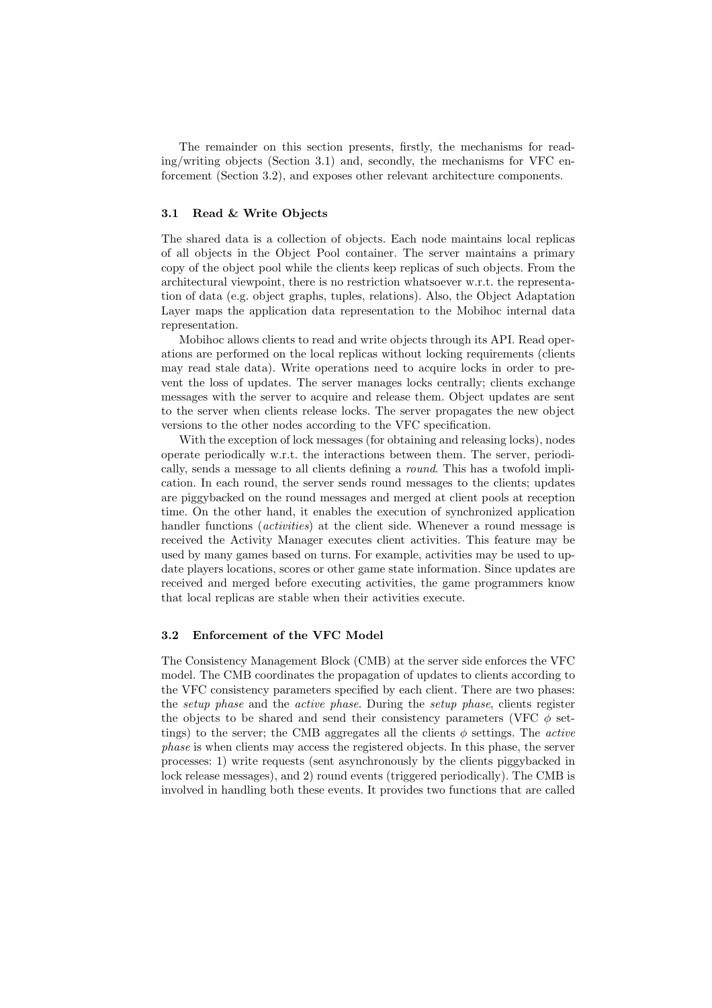The remainder on this section presents, firstly, the mechanisms for read $ing/writing$  objects (Section 3.1) and, secondly, the mechanisms for VFC enforcement (Section 3.2), and exposes other relevant architecture components.

#### 3.1 Read & Write Objects

The shared data is a collection of objects. Each node maintains local replicas of all objects in the Object Pool container. The server maintains a primary copy of the object pool while the clients keep replicas of such objects. From the architectural viewpoint, there is no restriction whatsoever w.r.t. the representation of data (e.g. object graphs, tuples, relations). Also, the Object Adaptation Layer maps the application data representation to the Mobihoc internal data representation.

Mobihoc allows clients to read and write objects through its API. Read operations are performed on the local replicas without locking requirements (clients may read stale data). Write operations need to acquire locks in order to prevent the loss of updates. The server manages locks centrally; clients exchange messages with the server to acquire and release them. Object updates are sent to the server when clients release locks. The server propagates the new object versions to the other nodes according to the VFC specification.

With the exception of lock messages (for obtaining and releasing locks), nodes operate periodically w.r.t. the interactions between them. The server, periodically, sends a message to all clients defining a round. This has a twofold implication. In each round, the server sends round messages to the clients; updates are piggybacked on the round messages and merged at client pools at reception time. On the other hand, it enables the execution of synchronized application handler functions *(activities)* at the client side. Whenever a round message is received the Activity Manager executes client activities. This feature may be used by many games based on turns. For example, activities may be used to update players locations, scores or other game state information. Since updates are received and merged before executing activities, the game programmers know that local replicas are stable when their activities execute.

### 3.2 Enforcement of the VFC Model

The Consistency Management Block (CMB) at the server side enforces the VFC model. The CMB coordinates the propagation of updates to clients according to the VFC consistency parameters specified by each client. There are two phases: the setup phase and the active phase. During the setup phase, clients register the objects to be shared and send their consistency parameters (VFC  $\phi$  settings) to the server; the CMB aggregates all the clients  $\phi$  settings. The *active* phase is when clients may access the registered objects. In this phase, the server processes: 1) write requests (sent asynchronously by the clients piggybacked in lock release messages), and 2) round events (triggered periodically). The CMB is involved in handling both these events. It provides two functions that are called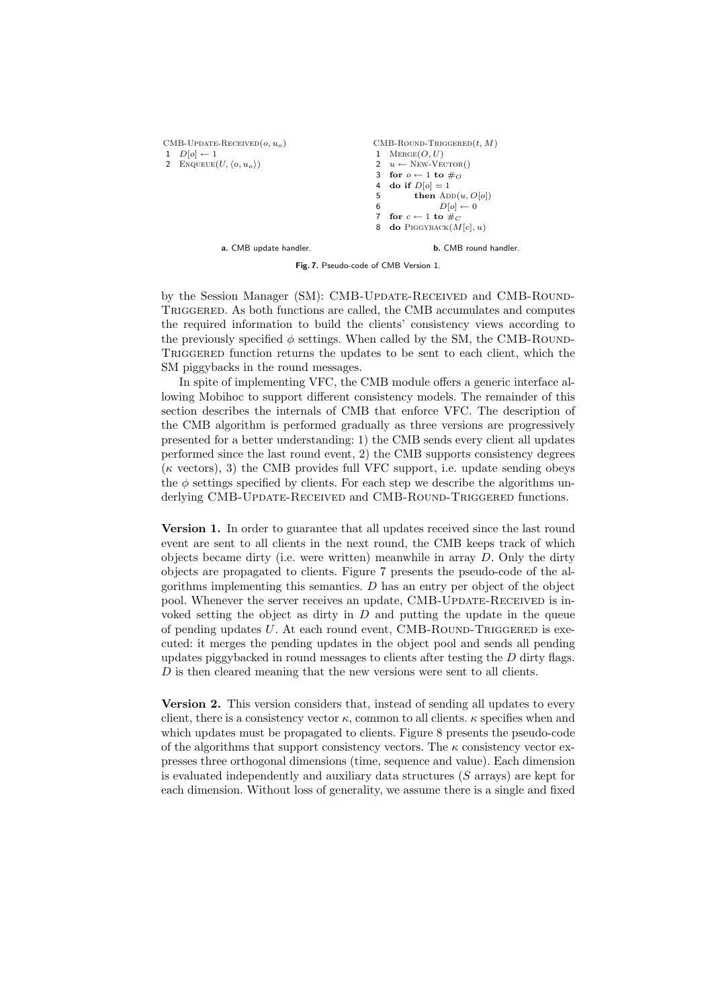CMB-Update-Received $(o, u_o)$ 1  $D[\rho] \leftarrow 1$ 2 ENQUEUE $(U, \langle o, u_o \rangle)$ 

```
\text{CMB-ROUND-TRIGGERED}(t, M)1 MERGE(O, U)2 u \leftarrow New-Vector()
3 for o \leftarrow 1 to \#_O4 do if D[\circ] = 15 then \text{ADD}(u, O[o])6 D[\rho] \leftarrow 07 for c \leftarrow 1 to \#c<br>8 do PIGGYRACK(M
   do Piggyback(M[c], u)
```
a. CMB update handler. b. CMB round handler.

Fig. 7. Pseudo-code of CMB Version 1.

by the Session Manager (SM): CMB-UPDATE-RECEIVED and CMB-ROUND-Triggered. As both functions are called, the CMB accumulates and computes the required information to build the clients' consistency views according to the previously specified  $\phi$  settings. When called by the SM, the CMB-ROUND-TRIGGERED function returns the updates to be sent to each client, which the SM piggybacks in the round messages.

In spite of implementing VFC, the CMB module offers a generic interface allowing Mobihoc to support different consistency models. The remainder of this section describes the internals of CMB that enforce VFC. The description of the CMB algorithm is performed gradually as three versions are progressively presented for a better understanding: 1) the CMB sends every client all updates performed since the last round event, 2) the CMB supports consistency degrees  $(\kappa$  vectors), 3) the CMB provides full VFC support, i.e. update sending obeys the  $\phi$  settings specified by clients. For each step we describe the algorithms underlying CMB-Update-Received and CMB-ROUND-Triggered functions.

Version 1. In order to guarantee that all updates received since the last round event are sent to all clients in the next round, the CMB keeps track of which objects became dirty (i.e. were written) meanwhile in array  $D$ . Only the dirty objects are propagated to clients. Figure 7 presents the pseudo-code of the algorithms implementing this semantics.  $D$  has an entry per object of the object pool. Whenever the server receives an update, CMB-Update-Received is invoked setting the object as dirty in  $D$  and putting the update in the queue of pending updates  $U$ . At each round event, CMB-ROUND-TRIGGERED is executed: it merges the pending updates in the object pool and sends all pending updates piggybacked in round messages to clients after testing the  $D$  dirty flags. D is then cleared meaning that the new versions were sent to all clients.

Version 2. This version considers that, instead of sending all updates to every client, there is a consistency vector  $\kappa$ , common to all clients.  $\kappa$  specifies when and which updates must be propagated to clients. Figure 8 presents the pseudo-code of the algorithms that support consistency vectors. The  $\kappa$  consistency vector expresses three orthogonal dimensions (time, sequence and value). Each dimension is evaluated independently and auxiliary data structures (S arrays) are kept for each dimension. Without loss of generality, we assume there is a single and fixed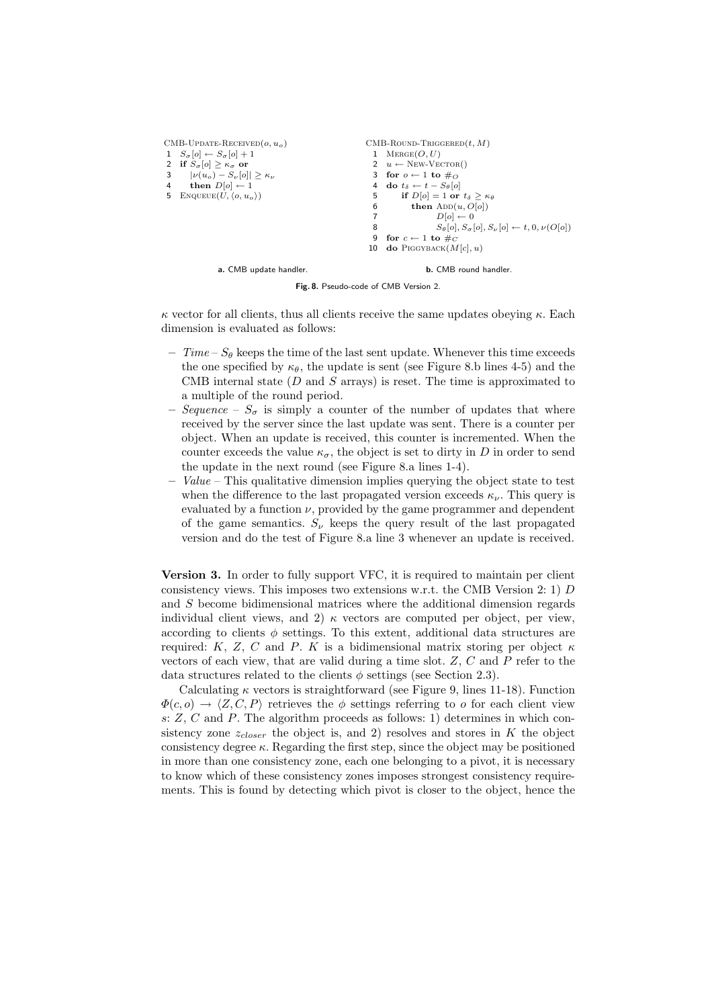```
CMB-Update-Received(o, u<sub>o</sub>)1 S_{\sigma}[o] \leftarrow S_{\sigma}[o] + 1<br>2 if S_{\sigma}[o] \geq \kappa_{\sigma} or
 2 if S_{\sigma}[o] \geq \kappa_{\sigma} or
 3 |\nu(u_o) - S_{\nu}[o]| \geq \kappa_{\nu}4 then D[o] \leftarrow 15 ENQUEUE(\overrightarrow{U}, \langle o, u_o \rangle)\text{CMB-ROUND-TRIGGERED}(t, M)1 MERGE(O, U)2 u \leftarrow \text{New-Vector}()3 for o \leftarrow 1 to \#_O4 do ts \leftarrow t - S_{\theta}[o]5 if D[\rho] = 1 or t_{\delta} > \kappa_{\theta}6 then ADD(u, O[o])7 D[o] \leftarrow 08 S_{\theta}[\rho], S_{\sigma}[\rho], S_{\nu}[\rho] \leftarrow t, 0, \nu(O[\rho])<br>9 for c \leftarrow 1 to \#cfor c \leftarrow 1 to \#_C10 do PIGGYBACK(M[c], u)a. CMB update handler. b. CMB round handler.
```
Fig. 8. Pseudo-code of CMB Version 2.

 $\kappa$  vector for all clients, thus all clients receive the same updates obeying  $\kappa$ . Each dimension is evaluated as follows:

- $Time S_{\theta}$  keeps the time of the last sent update. Whenever this time exceeds the one specified by  $\kappa_{\theta}$ , the update is sent (see Figure 8.b lines 4-5) and the CMB internal state  $(D \text{ and } S \text{ arrays})$  is reset. The time is approximated to a multiple of the round period.
- Sequence  $S_{\sigma}$  is simply a counter of the number of updates that where received by the server since the last update was sent. There is a counter per object. When an update is received, this counter is incremented. When the counter exceeds the value  $\kappa_{\sigma}$ , the object is set to dirty in D in order to send the update in the next round (see Figure 8.a lines 1-4).
- $Value$  This qualitative dimension implies querying the object state to test when the difference to the last propagated version exceeds  $\kappa_{\nu}$ . This query is evaluated by a function  $\nu$ , provided by the game programmer and dependent of the game semantics.  $S_{\nu}$  keeps the query result of the last propagated version and do the test of Figure 8.a line 3 whenever an update is received.

Version 3. In order to fully support VFC, it is required to maintain per client consistency views. This imposes two extensions w.r.t. the CMB Version 2: 1) D and S become bidimensional matrices where the additional dimension regards individual client views, and 2)  $\kappa$  vectors are computed per object, per view, according to clients  $\phi$  settings. To this extent, additional data structures are required: K, Z, C and P. K is a bidimensional matrix storing per object  $\kappa$ vectors of each view, that are valid during a time slot.  $Z, C$  and  $P$  refer to the data structures related to the clients  $\phi$  settings (see Section 2.3).

Calculating  $\kappa$  vectors is straightforward (see Figure 9, lines 11-18). Function  $\Phi(c, o) \to \langle Z, C, P \rangle$  retrieves the  $\phi$  settings referring to o for each client view s:  $Z$ ,  $C$  and  $P$ . The algorithm proceeds as follows: 1) determines in which consistency zone  $z_{closer}$  the object is, and 2) resolves and stores in K the object consistency degree  $\kappa$ . Regarding the first step, since the object may be positioned in more than one consistency zone, each one belonging to a pivot, it is necessary to know which of these consistency zones imposes strongest consistency requirements. This is found by detecting which pivot is closer to the object, hence the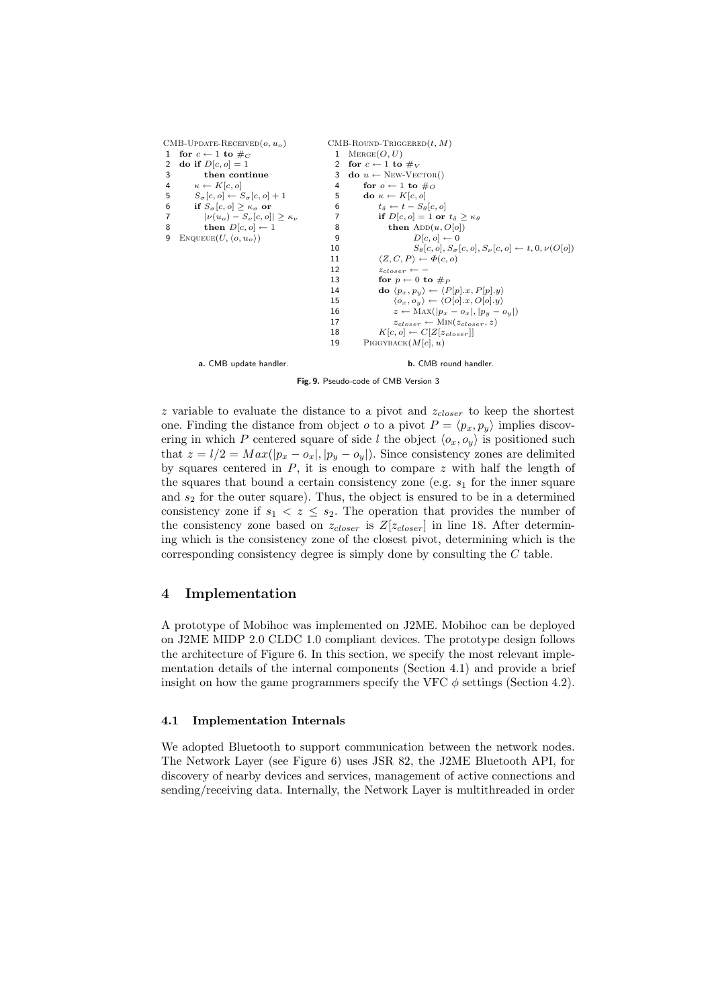```
CMB-UPDATE-RECEIVED(o, u_o)1 for c \leftarrow 1 to \#_C<br>2 do if D[c, o] = 12 do if D[c, o] = 1<br>3 then cont
             then continue
 4 \kappa \leftarrow K[c, o]5 S_{\sigma}[c, o] \leftarrow S_{\sigma}[c, o] + 16 if S_{\sigma}[c, o] \geq \kappa_{\sigma} or
7 |v(u_o) - S_v[c, o]| \ge \kappa_\nu<br>8 then D[c, o] \leftarrow 1then D[c, o] \leftarrow 19 ENQUEUE(U, \langle o, u_o \rangle)\text{CMB-ROUND-TRIGGERED}(t, M)1 MERGE(O, U)2 for c \leftarrow 1 to \#_V3 do u \leftarrow \text{New-Vector}()4 for o \leftarrow 1 to \#_O<br>5 do \kappa \leftarrow K[c, o]5 do \kappa \leftarrow K[c, o]6 t_{\delta} \leftarrow t - S_{\theta}[c, o]7 if D[c, o] = 1 or t_{\delta} \ge \kappa_{\theta}<br>8 then ADD(u, O[\sigma])then \text{ADD}(u, O[o])9 D[c, o] \leftarrow 010 S_{\theta}[c, o], S_{\sigma}[c, o], S_{\nu}[c, o] \leftarrow t, 0, \nu(O[o])11 \langle Z, C, P \rangle \leftarrow \Phi(c, o)12 z_{closer} \leftarrow13 for p \leftarrow 0 to \#P14 do \langle p_x, p_y \rangle \leftarrow \langle P[p].x, P[p].y \rangle15 \langle o_x, o_y \rangle \leftarrow \langle O[o].x, O[o].y \rangle16 z \leftarrow \text{MAX}(|p_x - o_x|, |p_y - o_y|)<br>17 z_{closer} \leftarrow \text{MIN}(z_{closer}, z)17 z_{closer} \leftarrow \text{MIN}(z_{closer}, z)<br>
18 K[c, o] \leftarrow C[Z[z_{closer}]]18 K[c, o] \leftarrow C[Z[z_{closer}]]<br>19 PIGGYBACK(M[c], u)PIGGYBACK(M[c], u)a. CMB update handler. b. CMB round handler.
```
Fig. 9. Pseudo-code of CMB Version 3

 $z$  variable to evaluate the distance to a pivot and  $z_{closer}$  to keep the shortest one. Finding the distance from object  $o$  to a pivot  $P = \langle p_x, p_y \rangle$  implies discovering in which P centered square of side l the object  $\langle o_x, o_y \rangle$  is positioned such that  $z = l/2 = Max(|p_x - o_x|, |p_y - o_y|)$ . Since consistency zones are delimited by squares centered in  $P$ , it is enough to compare  $z$  with half the length of the squares that bound a certain consistency zone (e.g.  $s_1$  for the inner square and  $s_2$  for the outer square). Thus, the object is ensured to be in a determined consistency zone if  $s_1 < z \leq s_2$ . The operation that provides the number of the consistency zone based on  $z_{closer}$  is  $Z[z_{closer}]$  in line 18. After determining which is the consistency zone of the closest pivot, determining which is the corresponding consistency degree is simply done by consulting the C table.

### 4 Implementation

A prototype of Mobihoc was implemented on J2ME. Mobihoc can be deployed on J2ME MIDP 2.0 CLDC 1.0 compliant devices. The prototype design follows the architecture of Figure 6. In this section, we specify the most relevant implementation details of the internal components (Section 4.1) and provide a brief insight on how the game programmers specify the VFC  $\phi$  settings (Section 4.2).

#### 4.1 Implementation Internals

We adopted Bluetooth to support communication between the network nodes. The Network Layer (see Figure 6) uses JSR 82, the J2ME Bluetooth API, for discovery of nearby devices and services, management of active connections and sending/receiving data. Internally, the Network Layer is multithreaded in order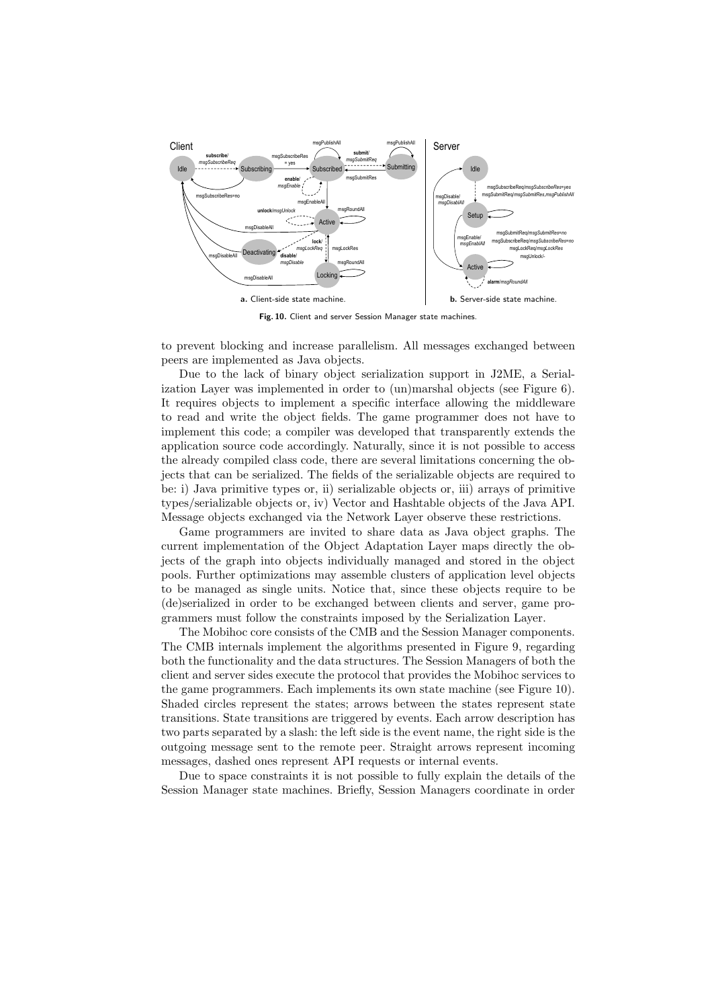

Fig. 10. Client and server Session Manager state machines.

to prevent blocking and increase parallelism. All messages exchanged between peers are implemented as Java objects.

Due to the lack of binary object serialization support in J2ME, a Serialization Layer was implemented in order to (un)marshal objects (see Figure 6). It requires objects to implement a specific interface allowing the middleware to read and write the object fields. The game programmer does not have to implement this code; a compiler was developed that transparently extends the application source code accordingly. Naturally, since it is not possible to access the already compiled class code, there are several limitations concerning the objects that can be serialized. The fields of the serializable objects are required to be: i) Java primitive types or, ii) serializable objects or, iii) arrays of primitive types/serializable objects or, iv) Vector and Hashtable objects of the Java API. Message objects exchanged via the Network Layer observe these restrictions.

Game programmers are invited to share data as Java object graphs. The current implementation of the Object Adaptation Layer maps directly the objects of the graph into objects individually managed and stored in the object pools. Further optimizations may assemble clusters of application level objects to be managed as single units. Notice that, since these objects require to be (de)serialized in order to be exchanged between clients and server, game programmers must follow the constraints imposed by the Serialization Layer.

The Mobihoc core consists of the CMB and the Session Manager components. The CMB internals implement the algorithms presented in Figure 9, regarding both the functionality and the data structures. The Session Managers of both the client and server sides execute the protocol that provides the Mobihoc services to the game programmers. Each implements its own state machine (see Figure 10). Shaded circles represent the states; arrows between the states represent state transitions. State transitions are triggered by events. Each arrow description has two parts separated by a slash: the left side is the event name, the right side is the outgoing message sent to the remote peer. Straight arrows represent incoming messages, dashed ones represent API requests or internal events.

Due to space constraints it is not possible to fully explain the details of the Session Manager state machines. Briefly, Session Managers coordinate in order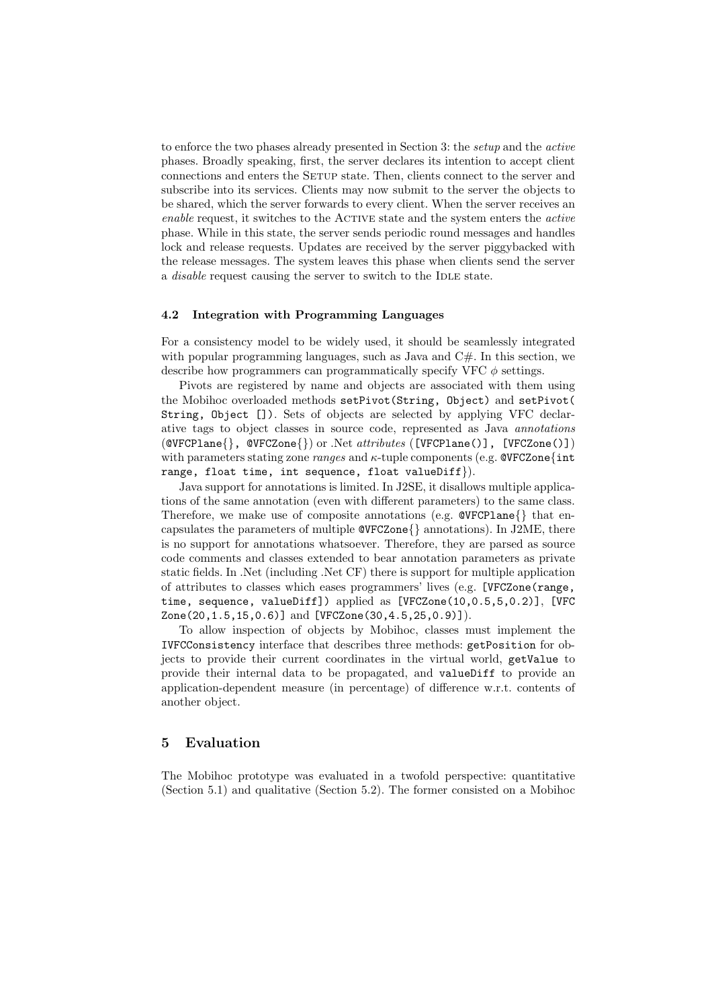to enforce the two phases already presented in Section 3: the setup and the active phases. Broadly speaking, first, the server declares its intention to accept client connections and enters the SETUP state. Then, clients connect to the server and subscribe into its services. Clients may now submit to the server the objects to be shared, which the server forwards to every client. When the server receives an enable request, it switches to the ACTIVE state and the system enters the *active* phase. While in this state, the server sends periodic round messages and handles lock and release requests. Updates are received by the server piggybacked with the release messages. The system leaves this phase when clients send the server a *disable* request causing the server to switch to the IDLE state.

#### 4.2 Integration with Programming Languages

For a consistency model to be widely used, it should be seamlessly integrated with popular programming languages, such as Java and  $C#$ . In this section, we describe how programmers can programmatically specify VFC  $\phi$  settings.

Pivots are registered by name and objects are associated with them using the Mobihoc overloaded methods setPivot(String, Object) and setPivot( String, Object []). Sets of objects are selected by applying VFC declarative tags to object classes in source code, represented as Java annotations  $($  (CVFCPlane{}, CVFCZone{}) or .Net *attributes* ([VFCPlane()], [VFCZone()]) with parameters stating zone ranges and  $\kappa$ -tuple components (e.g. @VFCZone{int range, float time, int sequence, float valueDiff}).

Java support for annotations is limited. In J2SE, it disallows multiple applications of the same annotation (even with different parameters) to the same class. Therefore, we make use of composite annotations (e.g. @VFCPlane{} that encapsulates the parameters of multiple @VFCZone{} annotations). In J2ME, there is no support for annotations whatsoever. Therefore, they are parsed as source code comments and classes extended to bear annotation parameters as private static fields. In .Net (including .Net CF) there is support for multiple application of attributes to classes which eases programmers' lives (e.g. [VFCZone(range, time, sequence, valueDiff]) applied as [VFCZone(10,0.5,5,0.2)], [VFC Zone(20,1.5,15,0.6)] and [VFCZone(30,4.5,25,0.9)]).

To allow inspection of objects by Mobihoc, classes must implement the IVFCConsistency interface that describes three methods: getPosition for objects to provide their current coordinates in the virtual world, getValue to provide their internal data to be propagated, and valueDiff to provide an application-dependent measure (in percentage) of difference w.r.t. contents of another object.

# 5 Evaluation

The Mobihoc prototype was evaluated in a twofold perspective: quantitative (Section 5.1) and qualitative (Section 5.2). The former consisted on a Mobihoc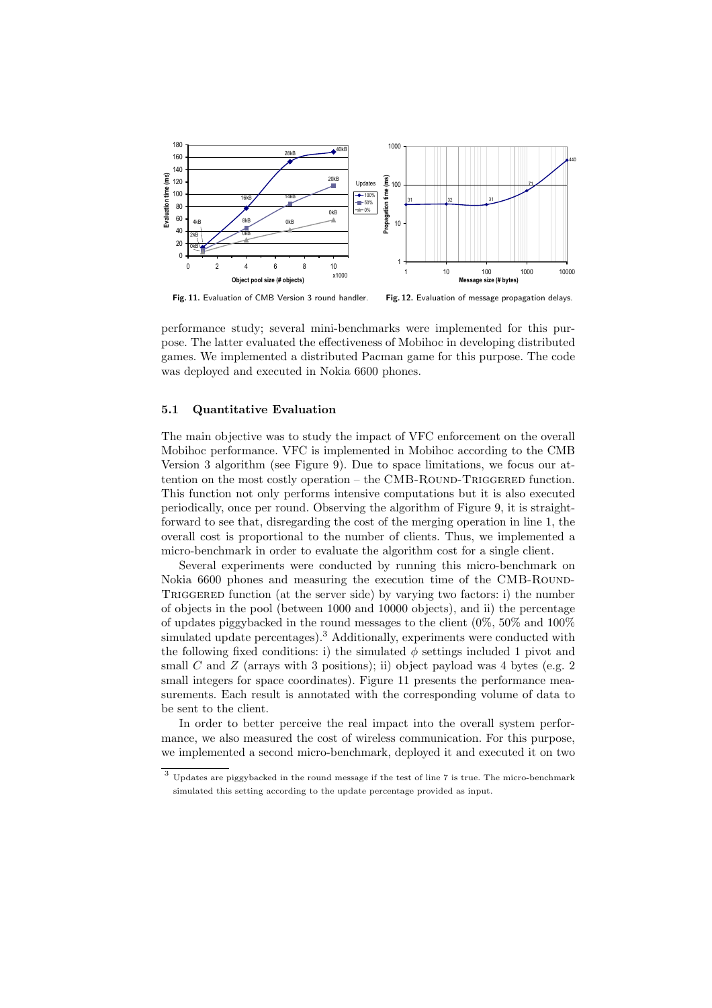

Fig. 11. Evaluation of CMB Version 3 round handler Fig. 12. Evaluation of message propagation delays.

performance study; several mini-benchmarks were implemented for this purpose. The latter evaluated the effectiveness of Mobihoc in developing distributed games. We implemented a distributed Pacman game for this purpose. The code was deployed and executed in Nokia 6600 phones.

#### 5.1 Quantitative Evaluation

The main objective was to study the impact of VFC enforcement on the overall Mobihoc performance. VFC is implemented in Mobihoc according to the CMB Version 3 algorithm (see Figure 9). Due to space limitations, we focus our attention on the most costly operation – the CMB-ROUND-TRIGGERED function. This function not only performs intensive computations but it is also executed periodically, once per round. Observing the algorithm of Figure 9, it is straightforward to see that, disregarding the cost of the merging operation in line 1, the overall cost is proportional to the number of clients. Thus, we implemented a micro-benchmark in order to evaluate the algorithm cost for a single client.

Several experiments were conducted by running this micro-benchmark on Nokia 6600 phones and measuring the execution time of the CMB-ROUND-TRIGGERED function (at the server side) by varying two factors: i) the number of objects in the pool (between 1000 and 10000 objects), and ii) the percentage of updates piggybacked in the round messages to the client  $(0\%, 50\%$  and  $100\%$ simulated update percentages).<sup>3</sup> Additionally, experiments were conducted with the following fixed conditions: i) the simulated  $\phi$  settings included 1 pivot and small C and Z (arrays with 3 positions); ii) object payload was 4 bytes (e.g. 2) small integers for space coordinates). Figure 11 presents the performance measurements. Each result is annotated with the corresponding volume of data to be sent to the client.

In order to better perceive the real impact into the overall system performance, we also measured the cost of wireless communication. For this purpose, we implemented a second micro-benchmark, deployed it and executed it on two

<sup>3</sup> Updates are piggybacked in the round message if the test of line 7 is true. The micro-benchmark simulated this setting according to the update percentage provided as input.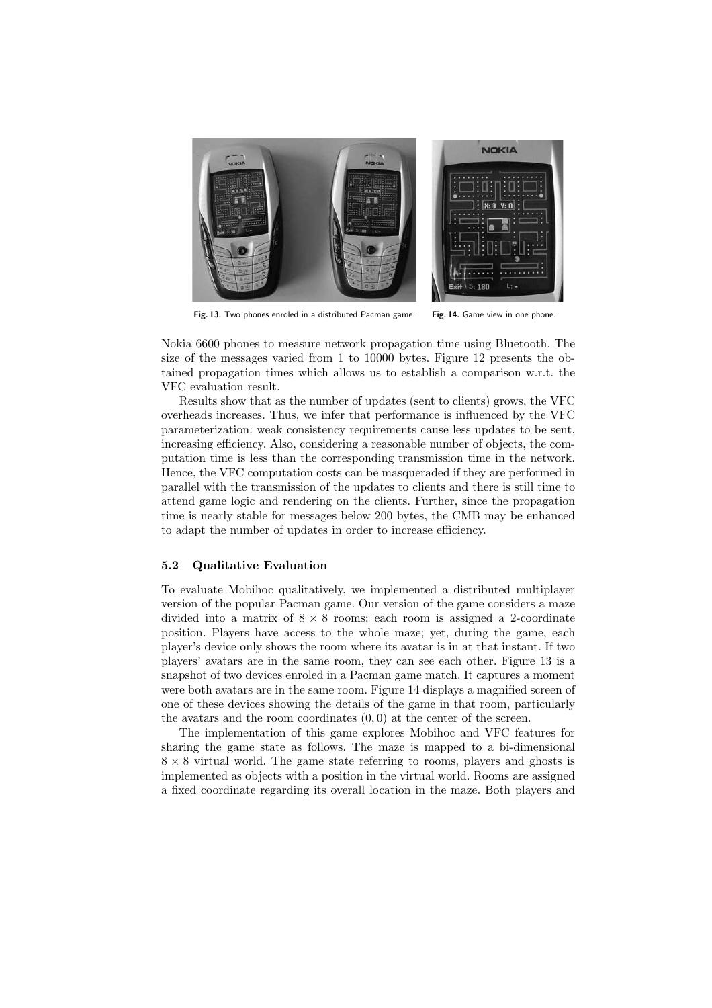

Fig. 13. Two phones enroled in a distributed Pacman game. Fig. 14. Game view in one phone.

Nokia 6600 phones to measure network propagation time using Bluetooth. The size of the messages varied from 1 to 10000 bytes. Figure 12 presents the obtained propagation times which allows us to establish a comparison w.r.t. the VFC evaluation result.

Results show that as the number of updates (sent to clients) grows, the VFC overheads increases. Thus, we infer that performance is influenced by the VFC parameterization: weak consistency requirements cause less updates to be sent, increasing efficiency. Also, considering a reasonable number of objects, the computation time is less than the corresponding transmission time in the network. Hence, the VFC computation costs can be masqueraded if they are performed in parallel with the transmission of the updates to clients and there is still time to attend game logic and rendering on the clients. Further, since the propagation time is nearly stable for messages below 200 bytes, the CMB may be enhanced to adapt the number of updates in order to increase efficiency.

#### 5.2 Qualitative Evaluation

To evaluate Mobihoc qualitatively, we implemented a distributed multiplayer version of the popular Pacman game. Our version of the game considers a maze divided into a matrix of  $8 \times 8$  rooms; each room is assigned a 2-coordinate position. Players have access to the whole maze; yet, during the game, each player's device only shows the room where its avatar is in at that instant. If two players' avatars are in the same room, they can see each other. Figure 13 is a snapshot of two devices enroled in a Pacman game match. It captures a moment were both avatars are in the same room. Figure 14 displays a magnified screen of one of these devices showing the details of the game in that room, particularly the avatars and the room coordinates  $(0, 0)$  at the center of the screen.

The implementation of this game explores Mobihoc and VFC features for sharing the game state as follows. The maze is mapped to a bi-dimensional  $8 \times 8$  virtual world. The game state referring to rooms, players and ghosts is implemented as objects with a position in the virtual world. Rooms are assigned a fixed coordinate regarding its overall location in the maze. Both players and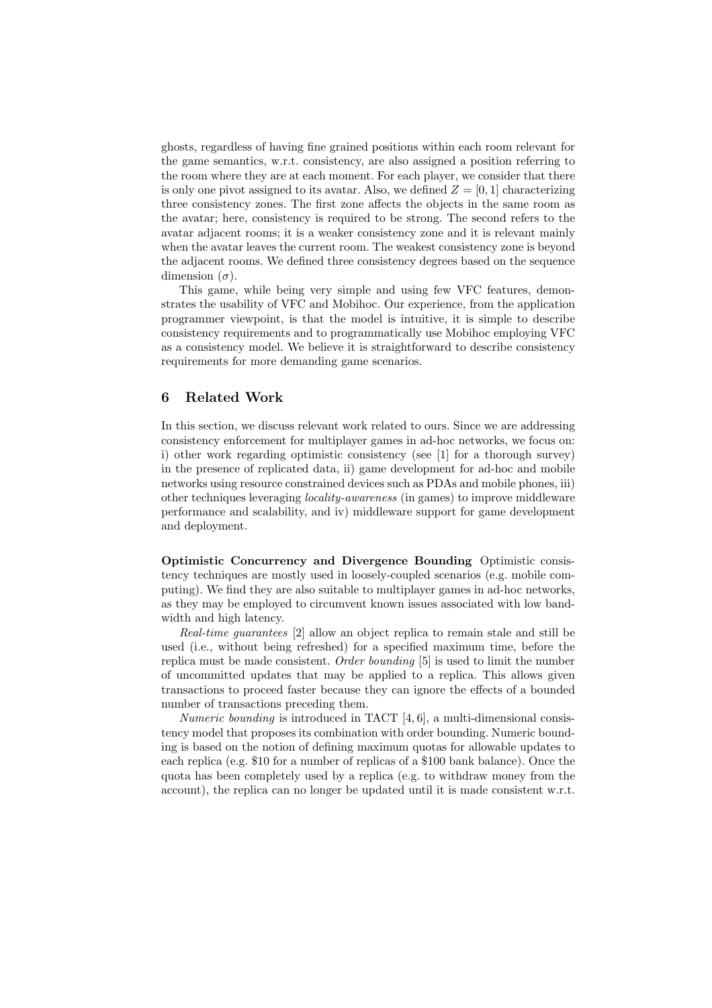ghosts, regardless of having fine grained positions within each room relevant for the game semantics, w.r.t. consistency, are also assigned a position referring to the room where they are at each moment. For each player, we consider that there is only one pivot assigned to its avatar. Also, we defined  $Z = [0, 1]$  characterizing three consistency zones. The first zone affects the objects in the same room as the avatar; here, consistency is required to be strong. The second refers to the avatar adjacent rooms; it is a weaker consistency zone and it is relevant mainly when the avatar leaves the current room. The weakest consistency zone is beyond the adjacent rooms. We defined three consistency degrees based on the sequence dimension  $(\sigma)$ .

This game, while being very simple and using few VFC features, demonstrates the usability of VFC and Mobihoc. Our experience, from the application programmer viewpoint, is that the model is intuitive, it is simple to describe consistency requirements and to programmatically use Mobihoc employing VFC as a consistency model. We believe it is straightforward to describe consistency requirements for more demanding game scenarios.

### 6 Related Work

In this section, we discuss relevant work related to ours. Since we are addressing consistency enforcement for multiplayer games in ad-hoc networks, we focus on: i) other work regarding optimistic consistency (see [1] for a thorough survey) in the presence of replicated data, ii) game development for ad-hoc and mobile networks using resource constrained devices such as PDAs and mobile phones, iii) other techniques leveraging locality-awareness (in games) to improve middleware performance and scalability, and iv) middleware support for game development and deployment.

Optimistic Concurrency and Divergence Bounding Optimistic consistency techniques are mostly used in loosely-coupled scenarios (e.g. mobile computing). We find they are also suitable to multiplayer games in ad-hoc networks, as they may be employed to circumvent known issues associated with low bandwidth and high latency.

Real-time guarantees [2] allow an object replica to remain stale and still be used (i.e., without being refreshed) for a specified maximum time, before the replica must be made consistent. Order bounding [5] is used to limit the number of uncommitted updates that may be applied to a replica. This allows given transactions to proceed faster because they can ignore the effects of a bounded number of transactions preceding them.

*Numeric bounding* is introduced in TACT  $[4, 6]$ , a multi-dimensional consistency model that proposes its combination with order bounding. Numeric bounding is based on the notion of defining maximum quotas for allowable updates to each replica (e.g. \$10 for a number of replicas of a \$100 bank balance). Once the quota has been completely used by a replica (e.g. to withdraw money from the account), the replica can no longer be updated until it is made consistent w.r.t.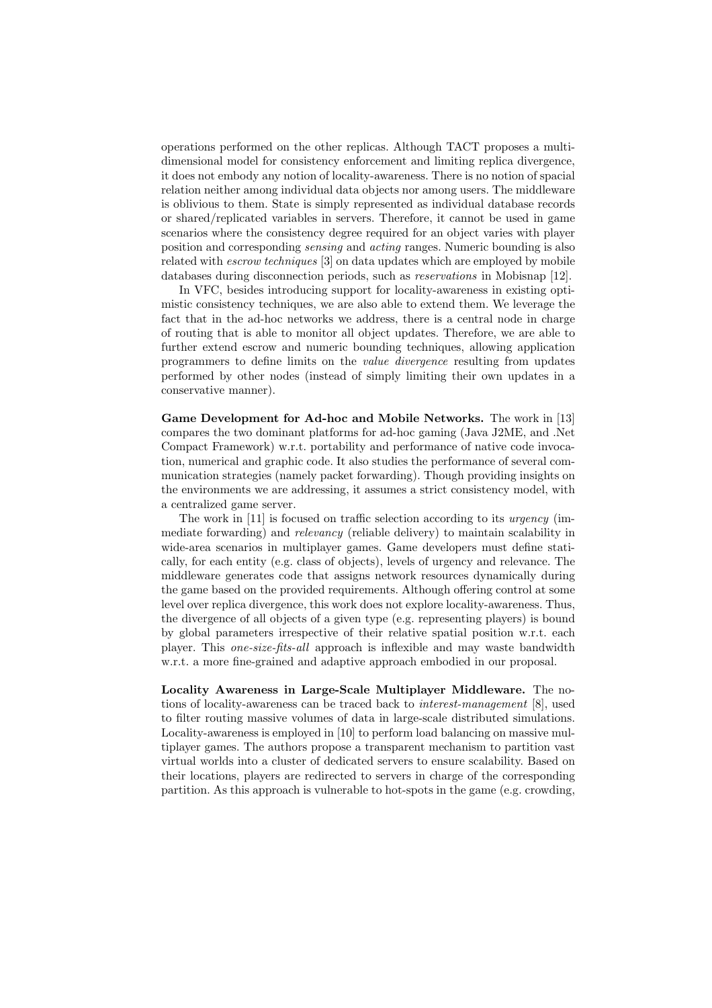operations performed on the other replicas. Although TACT proposes a multidimensional model for consistency enforcement and limiting replica divergence, it does not embody any notion of locality-awareness. There is no notion of spacial relation neither among individual data objects nor among users. The middleware is oblivious to them. State is simply represented as individual database records or shared/replicated variables in servers. Therefore, it cannot be used in game scenarios where the consistency degree required for an object varies with player position and corresponding sensing and acting ranges. Numeric bounding is also related with escrow techniques [3] on data updates which are employed by mobile databases during disconnection periods, such as reservations in Mobisnap [12].

In VFC, besides introducing support for locality-awareness in existing optimistic consistency techniques, we are also able to extend them. We leverage the fact that in the ad-hoc networks we address, there is a central node in charge of routing that is able to monitor all object updates. Therefore, we are able to further extend escrow and numeric bounding techniques, allowing application programmers to define limits on the value divergence resulting from updates performed by other nodes (instead of simply limiting their own updates in a conservative manner).

Game Development for Ad-hoc and Mobile Networks. The work in [13] compares the two dominant platforms for ad-hoc gaming (Java J2ME, and .Net Compact Framework) w.r.t. portability and performance of native code invocation, numerical and graphic code. It also studies the performance of several communication strategies (namely packet forwarding). Though providing insights on the environments we are addressing, it assumes a strict consistency model, with a centralized game server.

The work in [11] is focused on traffic selection according to its urgency (immediate forwarding) and relevancy (reliable delivery) to maintain scalability in wide-area scenarios in multiplayer games. Game developers must define statically, for each entity (e.g. class of objects), levels of urgency and relevance. The middleware generates code that assigns network resources dynamically during the game based on the provided requirements. Although offering control at some level over replica divergence, this work does not explore locality-awareness. Thus, the divergence of all objects of a given type (e.g. representing players) is bound by global parameters irrespective of their relative spatial position w.r.t. each player. This one-size-fits-all approach is inflexible and may waste bandwidth w.r.t. a more fine-grained and adaptive approach embodied in our proposal.

Locality Awareness in Large-Scale Multiplayer Middleware. The notions of locality-awareness can be traced back to interest-management [8], used to filter routing massive volumes of data in large-scale distributed simulations. Locality-awareness is employed in [10] to perform load balancing on massive multiplayer games. The authors propose a transparent mechanism to partition vast virtual worlds into a cluster of dedicated servers to ensure scalability. Based on their locations, players are redirected to servers in charge of the corresponding partition. As this approach is vulnerable to hot-spots in the game (e.g. crowding,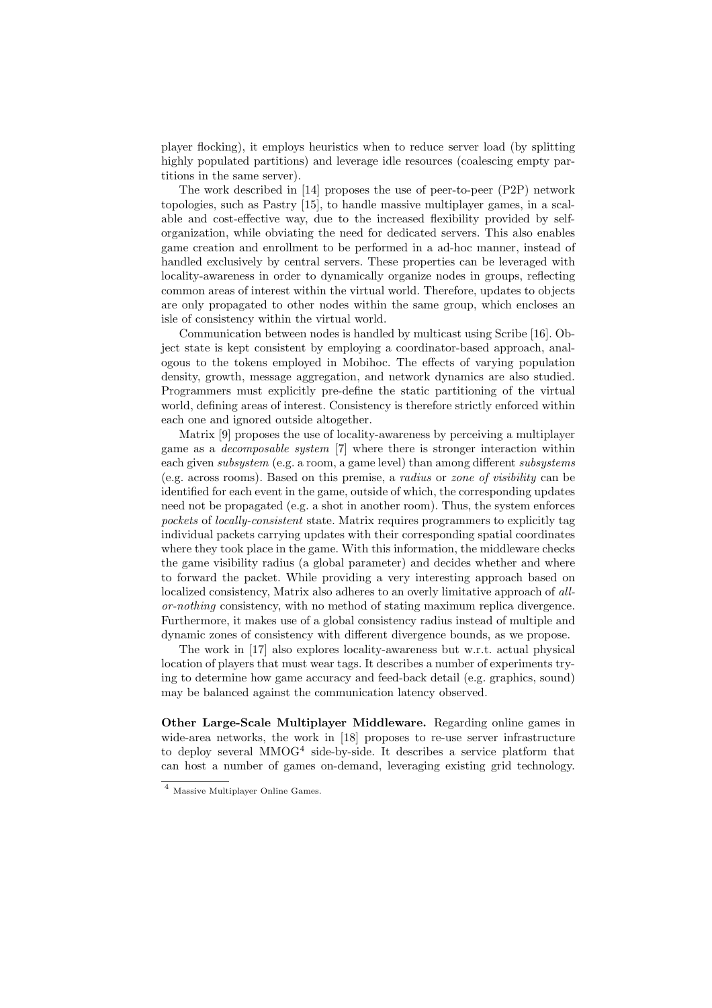player flocking), it employs heuristics when to reduce server load (by splitting highly populated partitions) and leverage idle resources (coalescing empty partitions in the same server).

The work described in [14] proposes the use of peer-to-peer (P2P) network topologies, such as Pastry [15], to handle massive multiplayer games, in a scalable and cost-effective way, due to the increased flexibility provided by selforganization, while obviating the need for dedicated servers. This also enables game creation and enrollment to be performed in a ad-hoc manner, instead of handled exclusively by central servers. These properties can be leveraged with locality-awareness in order to dynamically organize nodes in groups, reflecting common areas of interest within the virtual world. Therefore, updates to objects are only propagated to other nodes within the same group, which encloses an isle of consistency within the virtual world.

Communication between nodes is handled by multicast using Scribe [16]. Object state is kept consistent by employing a coordinator-based approach, analogous to the tokens employed in Mobihoc. The effects of varying population density, growth, message aggregation, and network dynamics are also studied. Programmers must explicitly pre-define the static partitioning of the virtual world, defining areas of interest. Consistency is therefore strictly enforced within each one and ignored outside altogether.

Matrix [9] proposes the use of locality-awareness by perceiving a multiplayer game as a decomposable system [7] where there is stronger interaction within each given *subsystem* (e.g. a room, a game level) than among different *subsystems* (e.g. across rooms). Based on this premise, a radius or zone of visibility can be identified for each event in the game, outside of which, the corresponding updates need not be propagated (e.g. a shot in another room). Thus, the system enforces pockets of locally-consistent state. Matrix requires programmers to explicitly tag individual packets carrying updates with their corresponding spatial coordinates where they took place in the game. With this information, the middleware checks the game visibility radius (a global parameter) and decides whether and where to forward the packet. While providing a very interesting approach based on localized consistency, Matrix also adheres to an overly limitative approach of allor-nothing consistency, with no method of stating maximum replica divergence. Furthermore, it makes use of a global consistency radius instead of multiple and dynamic zones of consistency with different divergence bounds, as we propose.

The work in [17] also explores locality-awareness but w.r.t. actual physical location of players that must wear tags. It describes a number of experiments trying to determine how game accuracy and feed-back detail (e.g. graphics, sound) may be balanced against the communication latency observed.

Other Large-Scale Multiplayer Middleware. Regarding online games in wide-area networks, the work in [18] proposes to re-use server infrastructure to deploy several  $MMOG<sup>4</sup>$  side-by-side. It describes a service platform that can host a number of games on-demand, leveraging existing grid technology.

<sup>4</sup> Massive Multiplayer Online Games.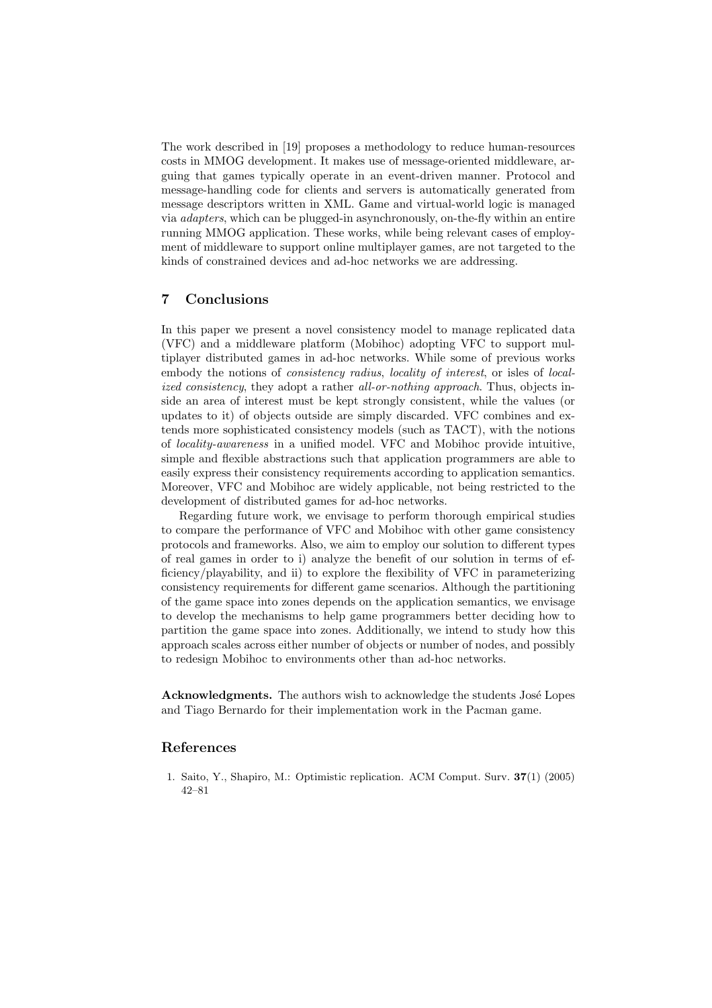The work described in [19] proposes a methodology to reduce human-resources costs in MMOG development. It makes use of message-oriented middleware, arguing that games typically operate in an event-driven manner. Protocol and message-handling code for clients and servers is automatically generated from message descriptors written in XML. Game and virtual-world logic is managed via adapters, which can be plugged-in asynchronously, on-the-fly within an entire running MMOG application. These works, while being relevant cases of employment of middleware to support online multiplayer games, are not targeted to the kinds of constrained devices and ad-hoc networks we are addressing.

# 7 Conclusions

In this paper we present a novel consistency model to manage replicated data (VFC) and a middleware platform (Mobihoc) adopting VFC to support multiplayer distributed games in ad-hoc networks. While some of previous works embody the notions of *consistency radius*, *locality of interest*, or isles of *local*ized consistency, they adopt a rather all-or-nothing approach. Thus, objects inside an area of interest must be kept strongly consistent, while the values (or updates to it) of objects outside are simply discarded. VFC combines and extends more sophisticated consistency models (such as TACT), with the notions of locality-awareness in a unified model. VFC and Mobihoc provide intuitive, simple and flexible abstractions such that application programmers are able to easily express their consistency requirements according to application semantics. Moreover, VFC and Mobihoc are widely applicable, not being restricted to the development of distributed games for ad-hoc networks.

Regarding future work, we envisage to perform thorough empirical studies to compare the performance of VFC and Mobihoc with other game consistency protocols and frameworks. Also, we aim to employ our solution to different types of real games in order to i) analyze the benefit of our solution in terms of efficiency/playability, and ii) to explore the flexibility of VFC in parameterizing consistency requirements for different game scenarios. Although the partitioning of the game space into zones depends on the application semantics, we envisage to develop the mechanisms to help game programmers better deciding how to partition the game space into zones. Additionally, we intend to study how this approach scales across either number of objects or number of nodes, and possibly to redesign Mobihoc to environments other than ad-hoc networks.

Acknowledgments. The authors wish to acknowledge the students José Lopes and Tiago Bernardo for their implementation work in the Pacman game.

## References

1. Saito, Y., Shapiro, M.: Optimistic replication. ACM Comput. Surv. 37(1) (2005) 42–81